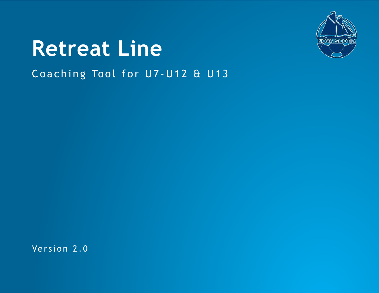

# Coaching Tool for U7-U12 & U13 **Retreat Line**

Version 2.0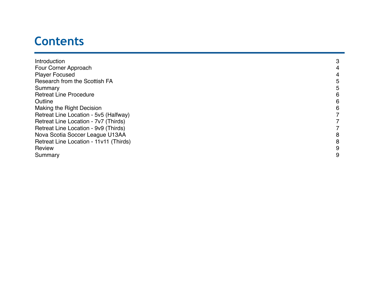# **Contents**

| Introduction                           | 3 |
|----------------------------------------|---|
| Four Corner Approach                   | 4 |
| <b>Player Focused</b>                  | 4 |
| Research from the Scottish FA          | 5 |
| Summary                                | ხ |
| <b>Retreat Line Procedure</b>          | 6 |
| Outline                                | 6 |
| <b>Making the Right Decision</b>       | 6 |
| Retreat Line Location - 5v5 (Halfway)  |   |
| Retreat Line Location - 7v7 (Thirds)   |   |
| Retreat Line Location - 9v9 (Thirds)   |   |
| Nova Scotia Soccer League U13AA        | 8 |
| Retreat Line Location - 11v11 (Thirds) | 8 |
| Review                                 | 9 |
| Summary                                | 9 |
|                                        |   |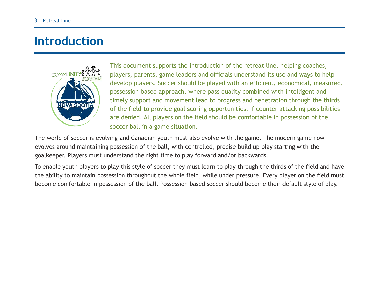### **Introduction**



This document supports the introduction of the retreat line, helping coaches, players, parents, game leaders and officials understand its use and ways to help develop players. Soccer should be played with an efficient, economical, measured, possession based approach, where pass quality combined with intelligent and timely support and movement lead to progress and penetration through the thirds of the field to provide goal scoring opportunities, If counter attacking possibilities are denied. All players on the field should be comfortable in possession of the soccer ball in a game situation.

The world of soccer is evolving and Canadian youth must also evolve with the game. The modern game now evolves around maintaining possession of the ball, with controlled, precise build up play starting with the goalkeeper. Players must understand the right time to play forward and/or backwards.

To enable youth players to play this style of soccer they must learn to play through the thirds of the field and have the ability to maintain possession throughout the whole field, while under pressure. Every player on the field must become comfortable in possession of the ball. Possession based soccer should become their default style of play.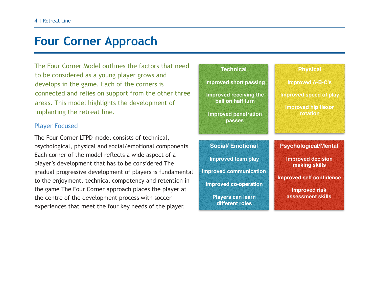### **Four Corner Approach**

The Four Corner Model outlines the factors that need to be considered as a young player grows and develops in the game. Each of the corners is connected and relies on support from the other three areas. This model highlights the development of implanting the retreat line.

#### Player Focused

The Four Corner LTPD model consists of technical, psychological, physical and social/emotional components Each corner of the model reflects a wide aspect of a player's development that has to be considered The gradual progressive development of players is fundamental to the enjoyment, technical competency and retention in the game The Four Corner approach places the player at the centre of the development process with soccer experiences that meet the four key needs of the player.

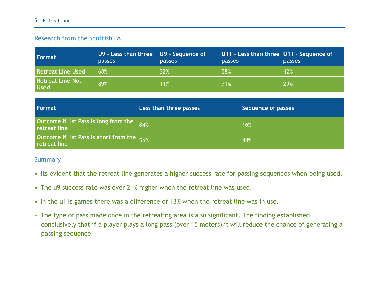#### 5 | Retreat Line

### Research from the Scottish FA

| Format                                 | $ U9 -$ Less than three $ U9 -$ Sequence of<br><b>passes</b> | <b>passes</b> | $ U11 -$ Less than three $ U11 -$ Sequence of<br><b>Dasses</b> | <b>passes</b> |
|----------------------------------------|--------------------------------------------------------------|---------------|----------------------------------------------------------------|---------------|
| <b>Retreat Line Used</b>               | 68%                                                          | 32%           | 58%                                                            | 42%           |
| <b>Retreat Line Not</b><br><b>Used</b> | 89%                                                          | 11%           | 71%                                                            | 29%           |

| Format                                                    | Less than three passes | Sequence of passes |
|-----------------------------------------------------------|------------------------|--------------------|
| Outcome if 1st Pass is long from the<br>retreat line      | $\vert 84\%$           | 16%                |
| Outcome if 1st Pass is short from the 56%<br>retreat line |                        | 44%                |

#### Summary

- Its evident that the retreat line generates a higher success rate for passing sequences when being used.
- The u9 success rate was over 21% higher when the retreat line was used.
- In the u11s games there was a difference of 13% when the retreat line was in use.
- The type of pass made once in the retreating area is also significant. The finding established conclusively that if a player plays a long pass (over 15 meters) it will reduce the chance of generating a passing sequence.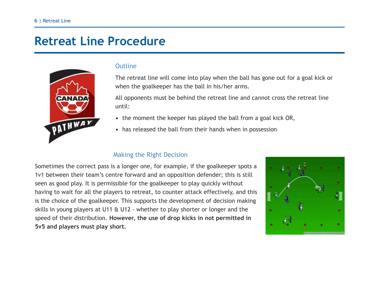### **Retreat Line Procedure**



#### **Outline**

The retreat line will come into play when the ball has gone out for a goal kick or when the goalkeeper has the ball in his/her arms.

All opponents must be behind the retreat line and cannot cross the retreat line until:

- the moment the keeper has played the ball from a goal kick OR,
- has released the ball from their hands when in possession

#### Making the Right Decision

Sometimes the correct pass is a longer one, for example, if the goalkeeper spots a 1v1 between their team's centre forward and an opposition defender; this is still seen as good play. It is permissible for the goalkeeper to play quickly without having to wait for all the players to retreat, to counter attack effectively, and this is the choice of the goalkeeper. This supports the development of decision making skills in young players at U11 & U12 - whether to play shorter or longer and the speed of their distribution. **However, the use of drop kicks in not permitted in 5v5 and players must play short.**

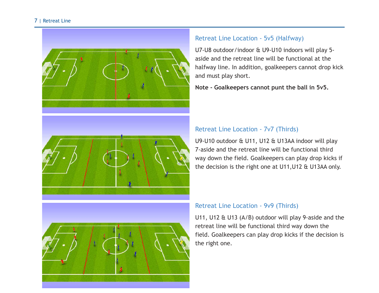#### 7 | Retreat Line







#### Retreat Line Location - 5v5 (Halfway)

U7-U8 outdoor/indoor & U9-U10 indoors will play 5 aside and the retreat line will be functional at the halfway line. In addition, goalkeepers cannot drop kick and must play short.

**Note - Goalkeepers cannot punt the ball in 5v5.**

#### Retreat Line Location - 7v7 (Thirds)

U9-U10 outdoor & U11, U12 & U13AA indoor will play 7-aside and the retreat line will be functional third way down the field. Goalkeepers can play drop kicks if the decision is the right one at U11,U12 & U13AA only.

#### Retreat Line Location - 9v9 (Thirds)

U11, U12 & U13 (A/B) outdoor will play 9-aside and the retreat line will be functional third way down the field. Goalkeepers can play drop kicks if the decision is the right one.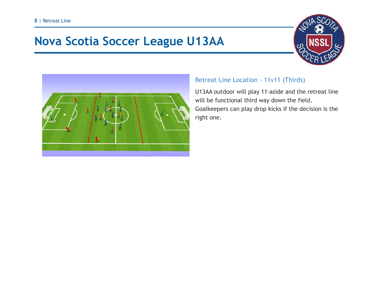# **Nova Scotia Soccer League U13AA**





### Retreat Line Location - 11v11 (Thirds)

U13AA outdoor will play 11-aside and the retreat line will be functional third way down the field. Goalkeepers can play drop kicks if the decision is the right one.